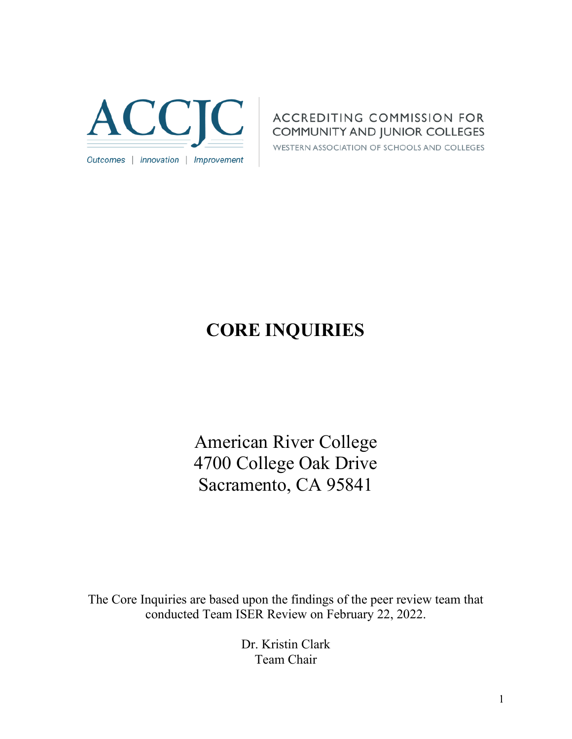

# **ACCREDITING COMMISSION FOR COMMUNITY AND JUNIOR COLLEGES**

WESTERN ASSOCIATION OF SCHOOLS AND COLLEGES

# **CORE INQUIRIES**

American River College 4700 College Oak Drive Sacramento, CA 95841

The Core Inquiries are based upon the findings of the peer review team that conducted Team ISER Review on February 22, 2022.

> Dr. Kristin Clark Team Chair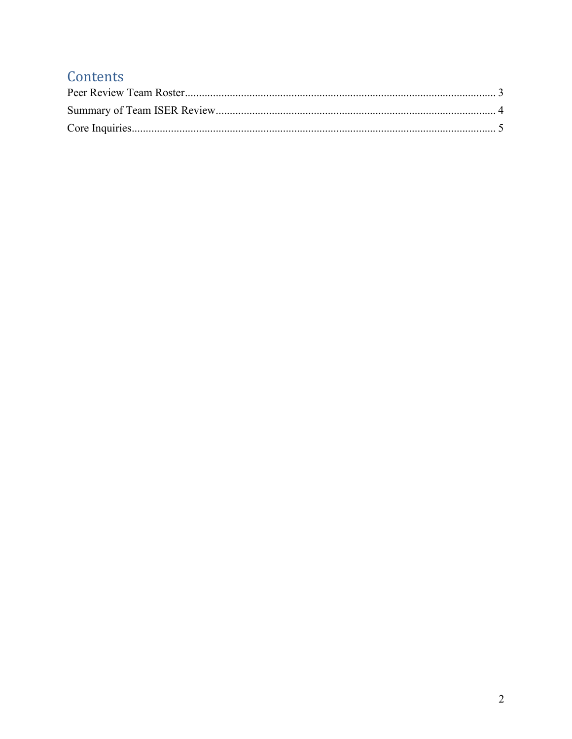# Contents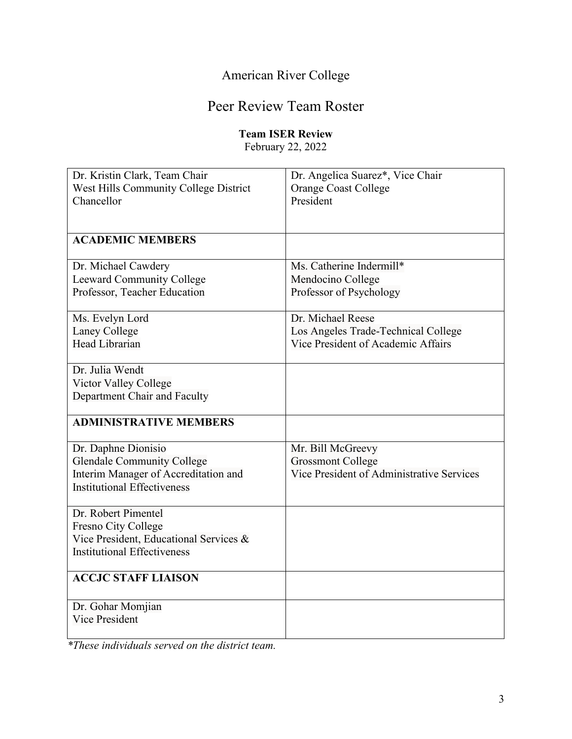# American River College

# Peer Review Team Roster

# **Team ISER Review**

February 22, 2022

<span id="page-2-0"></span>

| Dr. Kristin Clark, Team Chair          | Dr. Angelica Suarez*, Vice Chair          |
|----------------------------------------|-------------------------------------------|
| West Hills Community College District  | <b>Orange Coast College</b>               |
| Chancellor                             | President                                 |
|                                        |                                           |
|                                        |                                           |
| <b>ACADEMIC MEMBERS</b>                |                                           |
| Dr. Michael Cawdery                    | Ms. Catherine Indermill*                  |
| Leeward Community College              | Mendocino College                         |
| Professor, Teacher Education           | Professor of Psychology                   |
|                                        |                                           |
| Ms. Evelyn Lord                        | Dr. Michael Reese                         |
| Laney College                          | Los Angeles Trade-Technical College       |
| Head Librarian                         | Vice President of Academic Affairs        |
| Dr. Julia Wendt                        |                                           |
| Victor Valley College                  |                                           |
| Department Chair and Faculty           |                                           |
|                                        |                                           |
| <b>ADMINISTRATIVE MEMBERS</b>          |                                           |
|                                        |                                           |
| Dr. Daphne Dionisio                    | Mr. Bill McGreevy                         |
| <b>Glendale Community College</b>      | <b>Grossmont College</b>                  |
| Interim Manager of Accreditation and   | Vice President of Administrative Services |
| <b>Institutional Effectiveness</b>     |                                           |
| Dr. Robert Pimentel                    |                                           |
| Fresno City College                    |                                           |
| Vice President, Educational Services & |                                           |
| <b>Institutional Effectiveness</b>     |                                           |
|                                        |                                           |
| <b>ACCJC STAFF LIAISON</b>             |                                           |
|                                        |                                           |
| Dr. Gohar Momjian                      |                                           |
| Vice President                         |                                           |
|                                        |                                           |

*\*These individuals served on the district team.*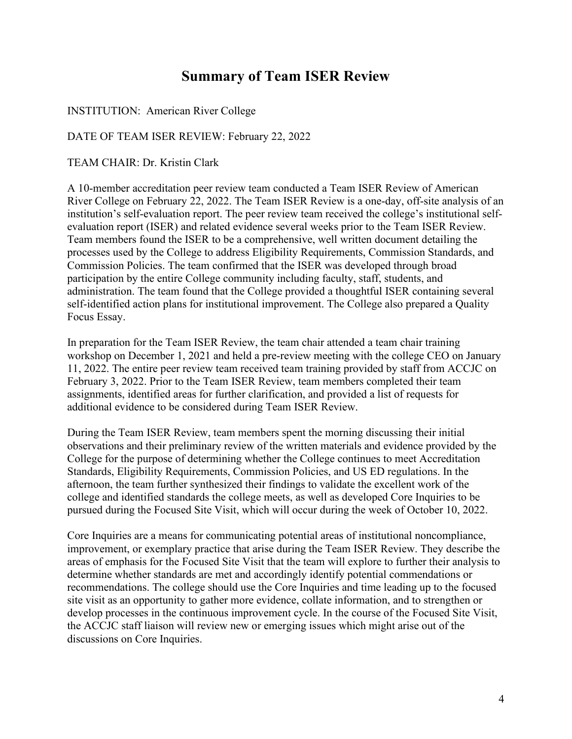# **Summary of Team ISER Review**

<span id="page-3-0"></span>INSTITUTION: American River College

DATE OF TEAM ISER REVIEW: February 22, 2022

TEAM CHAIR: Dr. Kristin Clark

A 10-member accreditation peer review team conducted a Team ISER Review of American River College on February 22, 2022. The Team ISER Review is a one-day, off-site analysis of an institution's self-evaluation report. The peer review team received the college's institutional selfevaluation report (ISER) and related evidence several weeks prior to the Team ISER Review. Team members found the ISER to be a comprehensive, well written document detailing the processes used by the College to address Eligibility Requirements, Commission Standards, and Commission Policies. The team confirmed that the ISER was developed through broad participation by the entire College community including faculty, staff, students, and administration. The team found that the College provided a thoughtful ISER containing several self-identified action plans for institutional improvement. The College also prepared a Quality Focus Essay.

In preparation for the Team ISER Review, the team chair attended a team chair training workshop on December 1, 2021 and held a pre-review meeting with the college CEO on January 11, 2022. The entire peer review team received team training provided by staff from ACCJC on February 3, 2022. Prior to the Team ISER Review, team members completed their team assignments, identified areas for further clarification, and provided a list of requests for additional evidence to be considered during Team ISER Review.

During the Team ISER Review, team members spent the morning discussing their initial observations and their preliminary review of the written materials and evidence provided by the College for the purpose of determining whether the College continues to meet Accreditation Standards, Eligibility Requirements, Commission Policies, and US ED regulations. In the afternoon, the team further synthesized their findings to validate the excellent work of the college and identified standards the college meets, as well as developed Core Inquiries to be pursued during the Focused Site Visit, which will occur during the week of October 10, 2022.

Core Inquiries are a means for communicating potential areas of institutional noncompliance, improvement, or exemplary practice that arise during the Team ISER Review. They describe the areas of emphasis for the Focused Site Visit that the team will explore to further their analysis to determine whether standards are met and accordingly identify potential commendations or recommendations. The college should use the Core Inquiries and time leading up to the focused site visit as an opportunity to gather more evidence, collate information, and to strengthen or develop processes in the continuous improvement cycle. In the course of the Focused Site Visit, the ACCJC staff liaison will review new or emerging issues which might arise out of the discussions on Core Inquiries.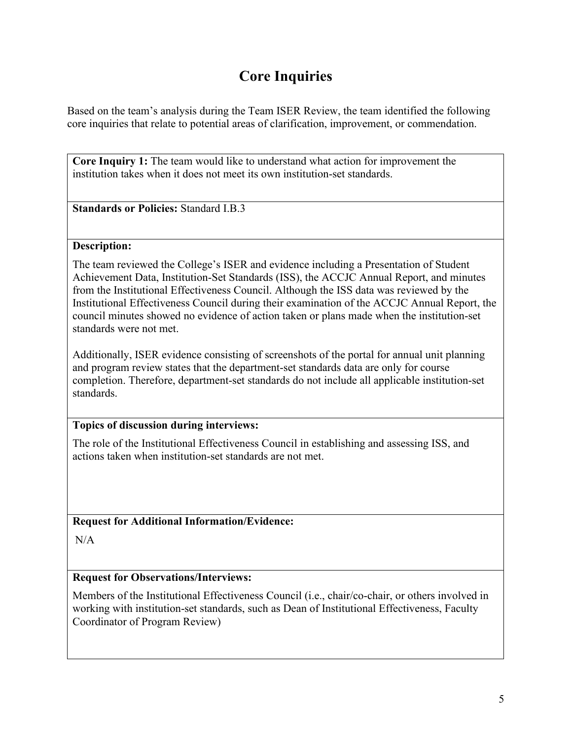# **Core Inquiries**

<span id="page-4-0"></span>Based on the team's analysis during the Team ISER Review, the team identified the following core inquiries that relate to potential areas of clarification, improvement, or commendation.

**Core Inquiry 1:** The team would like to understand what action for improvement the institution takes when it does not meet its own institution-set standards.

**Standards or Policies:** Standard I.B.3

#### **Description:**

The team reviewed the College's ISER and evidence including a Presentation of Student Achievement Data, Institution-Set Standards (ISS), the ACCJC Annual Report, and minutes from the Institutional Effectiveness Council. Although the ISS data was reviewed by the Institutional Effectiveness Council during their examination of the ACCJC Annual Report, the council minutes showed no evidence of action taken or plans made when the institution-set standards were not met.

Additionally, ISER evidence consisting of screenshots of the portal for annual unit planning and program review states that the department-set standards data are only for course completion. Therefore, department-set standards do not include all applicable institution-set standards.

### **Topics of discussion during interviews:**

The role of the Institutional Effectiveness Council in establishing and assessing ISS, and actions taken when institution-set standards are not met.

**Request for Additional Information/Evidence:**

N/A

### **Request for Observations/Interviews:**

Members of the Institutional Effectiveness Council (i.e., chair/co-chair, or others involved in working with institution-set standards, such as Dean of Institutional Effectiveness, Faculty Coordinator of Program Review)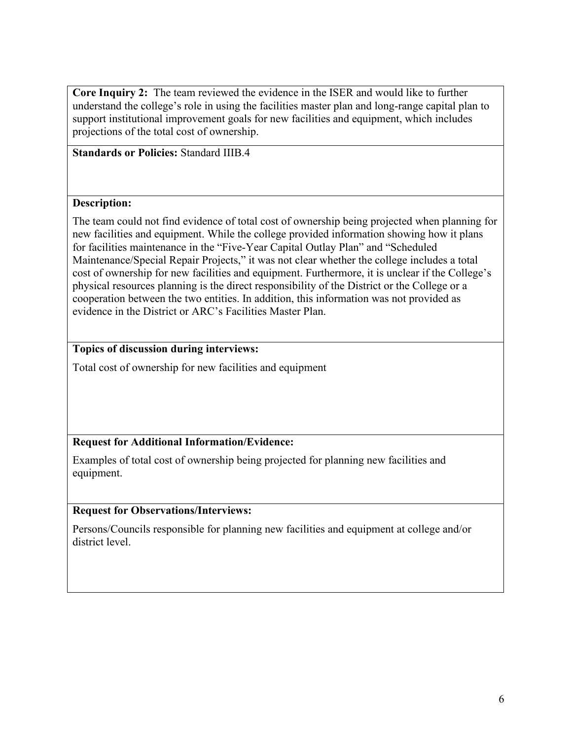**Core Inquiry 2:** The team reviewed the evidence in the ISER and would like to further understand the college's role in using the facilities master plan and long-range capital plan to support institutional improvement goals for new facilities and equipment, which includes projections of the total cost of ownership.

**Standards or Policies:** Standard IIIB.4

#### **Description:**

The team could not find evidence of total cost of ownership being projected when planning for new facilities and equipment. While the college provided information showing how it plans for facilities maintenance in the "Five-Year Capital Outlay Plan" and "Scheduled Maintenance/Special Repair Projects," it was not clear whether the college includes a total cost of ownership for new facilities and equipment. Furthermore, it is unclear if the College's physical resources planning is the direct responsibility of the District or the College or a cooperation between the two entities. In addition, this information was not provided as evidence in the District or ARC's Facilities Master Plan.

#### **Topics of discussion during interviews:**

Total cost of ownership for new facilities and equipment

### **Request for Additional Information/Evidence:**

Examples of total cost of ownership being projected for planning new facilities and equipment.

#### **Request for Observations/Interviews:**

Persons/Councils responsible for planning new facilities and equipment at college and/or district level.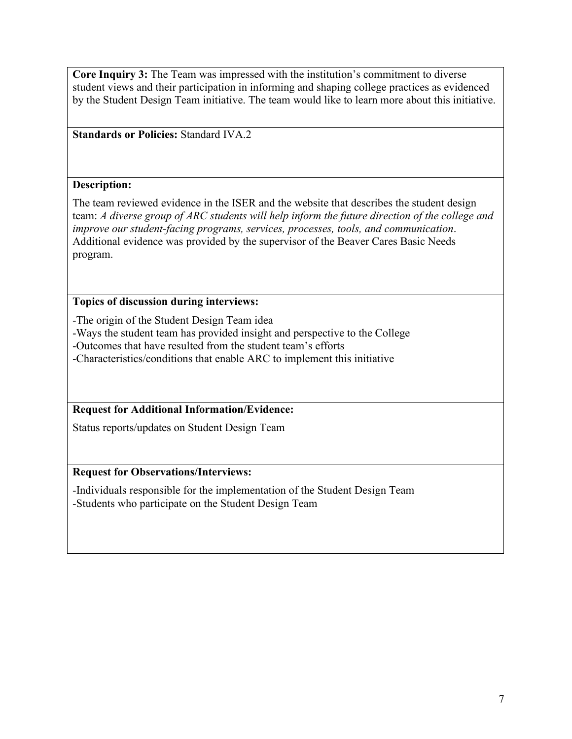**Core Inquiry 3:** The Team was impressed with the institution's commitment to diverse student views and their participation in informing and shaping college practices as evidenced by the Student Design Team initiative. The team would like to learn more about this initiative.

**Standards or Policies:** Standard IVA.2

#### **Description:**

The team reviewed evidence in the ISER and the website that describes the student design team: *A diverse group of ARC students will help inform the future direction of the college and improve our student-facing programs, services, processes, tools, and communication*. Additional evidence was provided by the supervisor of the Beaver Cares Basic Needs program.

### **Topics of discussion during interviews:**

-The origin of the Student Design Team idea

-Ways the student team has provided insight and perspective to the College

-Outcomes that have resulted from the student team's efforts

-Characteristics/conditions that enable ARC to implement this initiative

### **Request for Additional Information/Evidence:**

Status reports/updates on Student Design Team

### **Request for Observations/Interviews:**

-Individuals responsible for the implementation of the Student Design Team -Students who participate on the Student Design Team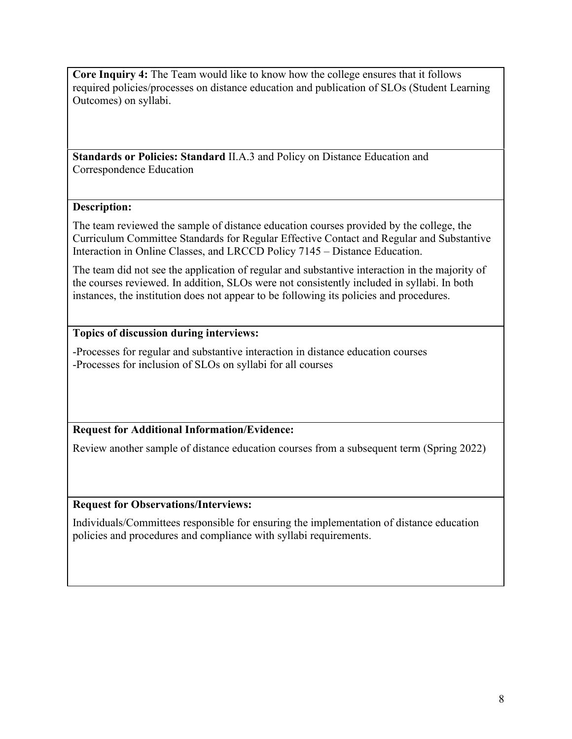**Core Inquiry 4:** The Team would like to know how the college ensures that it follows required policies/processes on distance education and publication of SLOs (Student Learning Outcomes) on syllabi.

**Standards or Policies: Standard** II.A.3 and Policy on Distance Education and Correspondence Education

# **Description:**

The team reviewed the sample of distance education courses provided by the college, the Curriculum Committee Standards for Regular Effective Contact and Regular and Substantive Interaction in Online Classes, and LRCCD Policy 7145 – Distance Education.

The team did not see the application of regular and substantive interaction in the majority of the courses reviewed. In addition, SLOs were not consistently included in syllabi. In both instances, the institution does not appear to be following its policies and procedures.

# **Topics of discussion during interviews:**

-Processes for regular and substantive interaction in distance education courses -Processes for inclusion of SLOs on syllabi for all courses

# **Request for Additional Information/Evidence:**

Review another sample of distance education courses from a subsequent term (Spring 2022)

# **Request for Observations/Interviews:**

Individuals/Committees responsible for ensuring the implementation of distance education policies and procedures and compliance with syllabi requirements.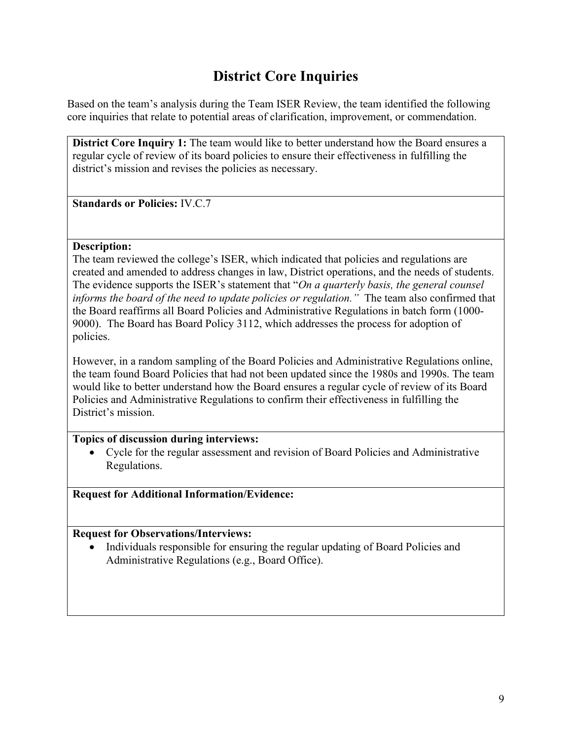# **District Core Inquiries**

Based on the team's analysis during the Team ISER Review, the team identified the following core inquiries that relate to potential areas of clarification, improvement, or commendation.

**District Core Inquiry 1:** The team would like to better understand how the Board ensures a regular cycle of review of its board policies to ensure their effectiveness in fulfilling the district's mission and revises the policies as necessary.

**Standards or Policies:** IV.C.7

#### **Description:**

The team reviewed the college's ISER, which indicated that policies and regulations are created and amended to address changes in law, District operations, and the needs of students. The evidence supports the ISER's statement that "*On a quarterly basis, the general counsel informs the board of the need to update policies or regulation."* The team also confirmed that the Board reaffirms all Board Policies and Administrative Regulations in batch form (1000- 9000). The Board has Board Policy 3112, which addresses the process for adoption of policies.

However, in a random sampling of the Board Policies and Administrative Regulations online, the team found Board Policies that had not been updated since the 1980s and 1990s. The team would like to better understand how the Board ensures a regular cycle of review of its Board Policies and Administrative Regulations to confirm their effectiveness in fulfilling the District's mission.

#### **Topics of discussion during interviews:**

• Cycle for the regular assessment and revision of Board Policies and Administrative Regulations.

**Request for Additional Information/Evidence:**

#### **Request for Observations/Interviews:**

• Individuals responsible for ensuring the regular updating of Board Policies and Administrative Regulations (e.g., Board Office).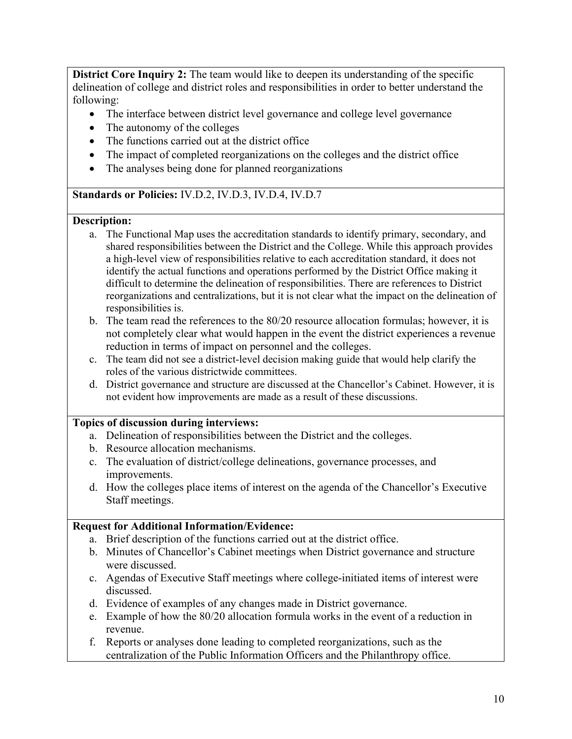**District Core Inquiry 2:** The team would like to deepen its understanding of the specific delineation of college and district roles and responsibilities in order to better understand the following:

- The interface between district level governance and college level governance
- The autonomy of the colleges
- The functions carried out at the district office
- The impact of completed reorganizations on the colleges and the district office
- The analyses being done for planned reorganizations

#### **Standards or Policies:** IV.D.2, IV.D.3, IV.D.4, IV.D.7

#### **Description:**

- a. The Functional Map uses the accreditation standards to identify primary, secondary, and shared responsibilities between the District and the College. While this approach provides a high-level view of responsibilities relative to each accreditation standard, it does not identify the actual functions and operations performed by the District Office making it difficult to determine the delineation of responsibilities. There are references to District reorganizations and centralizations, but it is not clear what the impact on the delineation of responsibilities is.
- b. The team read the references to the 80/20 resource allocation formulas; however, it is not completely clear what would happen in the event the district experiences a revenue reduction in terms of impact on personnel and the colleges.
- c. The team did not see a district-level decision making guide that would help clarify the roles of the various districtwide committees.
- d. District governance and structure are discussed at the Chancellor's Cabinet. However, it is not evident how improvements are made as a result of these discussions.

#### **Topics of discussion during interviews:**

- a. Delineation of responsibilities between the District and the colleges.
- b. Resource allocation mechanisms.
- c. The evaluation of district/college delineations, governance processes, and improvements.
- d. How the colleges place items of interest on the agenda of the Chancellor's Executive Staff meetings.

#### **Request for Additional Information/Evidence:**

- a. Brief description of the functions carried out at the district office.
- b. Minutes of Chancellor's Cabinet meetings when District governance and structure were discussed.
- c. Agendas of Executive Staff meetings where college-initiated items of interest were discussed.
- d. Evidence of examples of any changes made in District governance.
- e. Example of how the 80/20 allocation formula works in the event of a reduction in revenue.
- f. Reports or analyses done leading to completed reorganizations, such as the centralization of the Public Information Officers and the Philanthropy office.